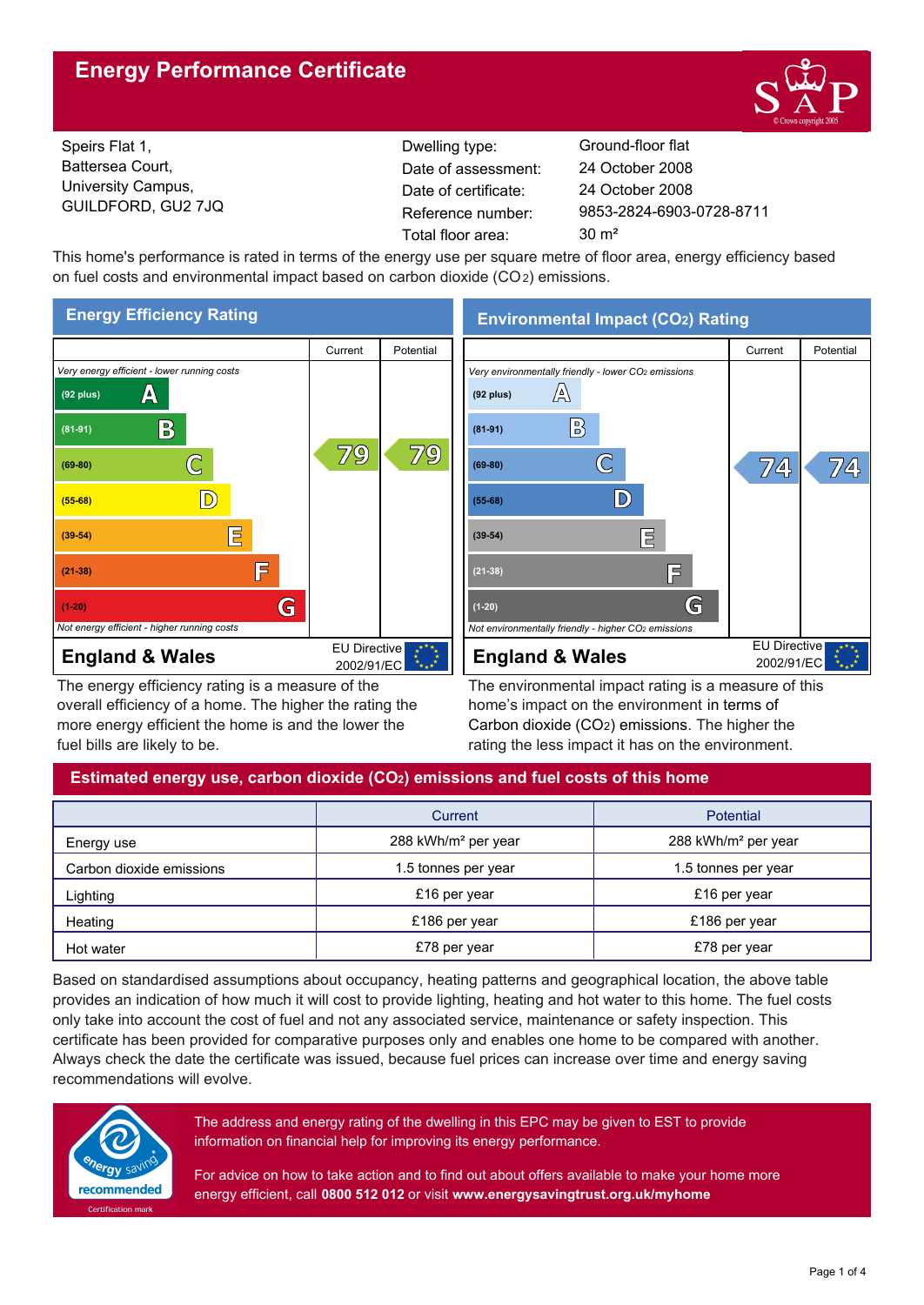## **Energy Performance Certificate**



Speirs Flat 1, Battersea Court, University Campus, GUILDFORD, GU2 7JQ

Dwelling type: Ground-floor flat Date of certificate: Total floor area: 30 m<sup>2</sup> Date of assessment:

9853-2824-6903-0728-8711 24 October 2008 24 October 2008

This home's performance is rated in terms of the energy use per square metre of floor area, energy efficiency based on fuel costs and environmental impact based on carbon dioxide (CO2) emissions.



The energy efficiency rating is a measure of the overall efficiency of a home. The higher the rating the more energy efficient the home is and the lower the fuel bills are likely to be.

**Environmental Impact (CO2) Rating**



The environmental impact rating is a measure of this home's impact on the environment in terms of Carbon dioxide (CO2) emissions. The higher the rating the less impact it has on the environment.

## **Estimated energy use, carbon dioxide (CO2) emissions and fuel costs of this home**

|                          | Current                         | Potential                       |  |
|--------------------------|---------------------------------|---------------------------------|--|
| Energy use               | 288 kWh/m <sup>2</sup> per year | 288 kWh/m <sup>2</sup> per year |  |
| Carbon dioxide emissions | 1.5 tonnes per year             | 1.5 tonnes per year             |  |
| Lighting                 | £16 per year                    | £16 per year                    |  |
| Heating                  | £186 per year                   | £186 per year                   |  |
| Hot water                | £78 per year                    | £78 per year                    |  |

Based on standardised assumptions about occupancy, heating patterns and geographical location, the above table provides an indication of how much it will cost to provide lighting, heating and hot water to this home. The fuel costs only take into account the cost of fuel and not any associated service, maintenance or safety inspection. This certificate has been provided for comparative purposes only and enables one home to be compared with another. Always check the date the certificate was issued, because fuel prices can increase over time and energy saving recommendations will evolve.



The address and energy rating of the dwelling in this EPC may be given to EST to provide information on financial help for improving its energy performance.

For advice on how to take action and to find out about offers available to make your home more energy efficient, call **0800 512 012** or visit **www.energysavingtrust.org.uk/myhome**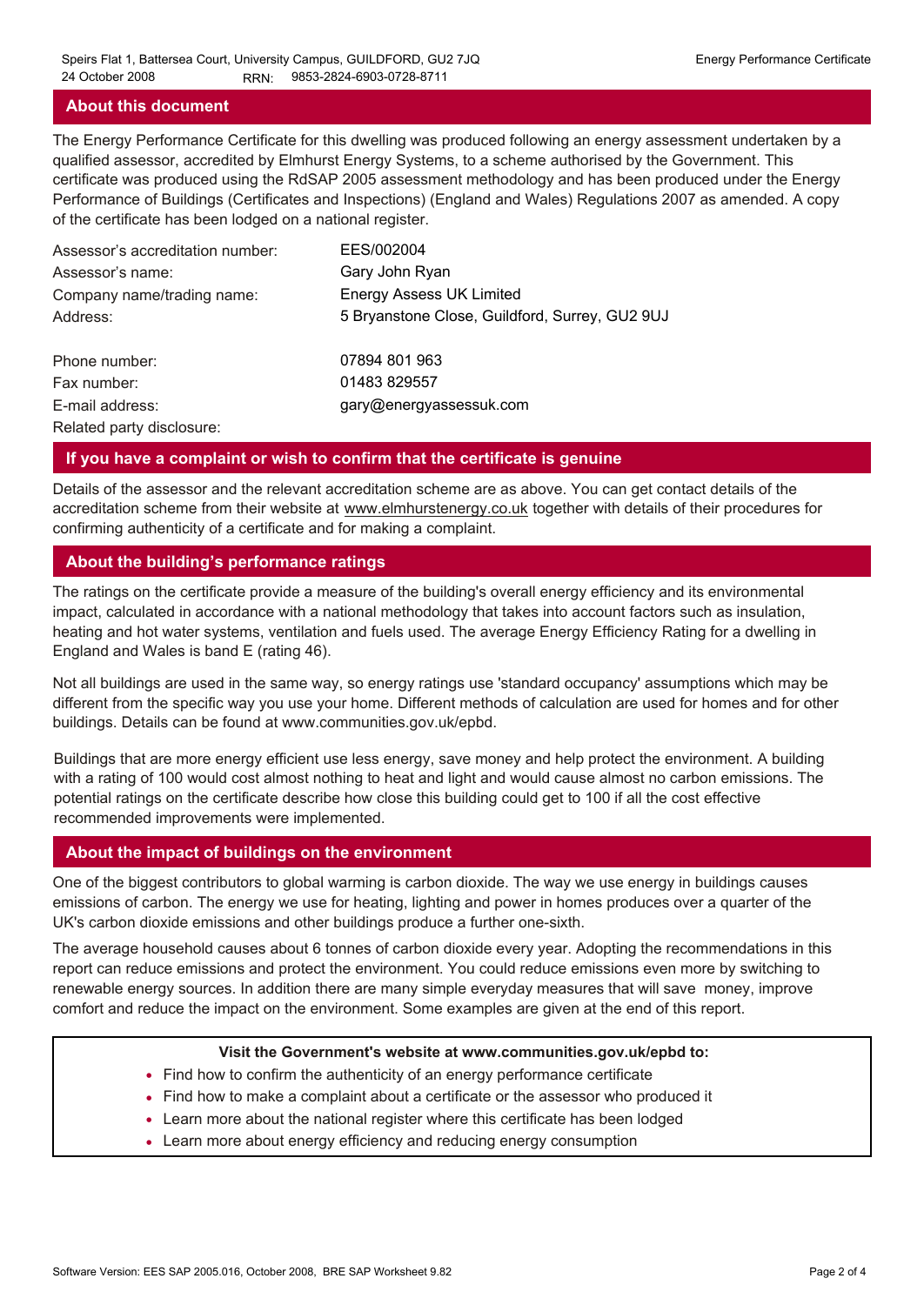#### **About this document**

The Energy Performance Certificate for this dwelling was produced following an energy assessment undertaken by a qualified assessor, accredited by Elmhurst Energy Systems, to a scheme authorised by the Government. This certificate was produced using the RdSAP 2005 assessment methodology and has been produced under the Energy Performance of Buildings (Certificates and Inspections) (England and Wales) Regulations 2007 as amended. A copy of the certificate has been lodged on a national register.

| Assessor's accreditation number: | EES/002004                                     |
|----------------------------------|------------------------------------------------|
| Assessor's name:                 | Gary John Ryan                                 |
| Company name/trading name:       | <b>Energy Assess UK Limited</b>                |
| Address:                         | 5 Bryanstone Close, Guildford, Surrey, GU2 9UJ |
| Phone number:                    | 07894 801 963                                  |
| Fax number:                      | 01483 829557                                   |
| E-mail address:                  | gary@energyassessuk.com                        |
| Related party disclosure:        |                                                |

#### **If you have a complaint or wish to confirm that the certificate is genuine**

Details of the assessor and the relevant accreditation scheme are as above. You can get contact details of the accreditation scheme from their website at www.elmhurstenergy.co.uk together with details of their procedures for confirming authenticity of a certificate and for making a complaint.

#### **About the building's performance ratings**

The ratings on the certificate provide a measure of the building's overall energy efficiency and its environmental impact, calculated in accordance with a national methodology that takes into account factors such as insulation, heating and hot water systems, ventilation and fuels used. The average Energy Efficiency Rating for a dwelling in England and Wales is band E (rating 46).

Not all buildings are used in the same way, so energy ratings use 'standard occupancy' assumptions which may be different from the specific way you use your home. Different methods of calculation are used for homes and for other buildings. Details can be found at www.communities.gov.uk/epbd.

Buildings that are more energy efficient use less energy, save money and help protect the environment. A building with a rating of 100 would cost almost nothing to heat and light and would cause almost no carbon emissions. The potential ratings on the certificate describe how close this building could get to 100 if all the cost effective recommended improvements were implemented.

#### **About the impact of buildings on the environment**

One of the biggest contributors to global warming is carbon dioxide. The way we use energy in buildings causes emissions of carbon. The energy we use for heating, lighting and power in homes produces over a quarter of the UK's carbon dioxide emissions and other buildings produce a further one-sixth.

The average household causes about 6 tonnes of carbon dioxide every year. Adopting the recommendations in this report can reduce emissions and protect the environment. You could reduce emissions even more by switching to renewable energy sources. In addition there are many simple everyday measures that will save money, improve comfort and reduce the impact on the environment. Some examples are given at the end of this report.

#### **Visit the Government's website at www.communities.gov.uk/epbd to:**

- Find how to confirm the authenticity of an energy performance certificate
- Find how to make a complaint about a certificate or the assessor who produced it •
- Learn more about the national register where this certificate has been lodged •
- Learn more about energy efficiency and reducing energy consumption •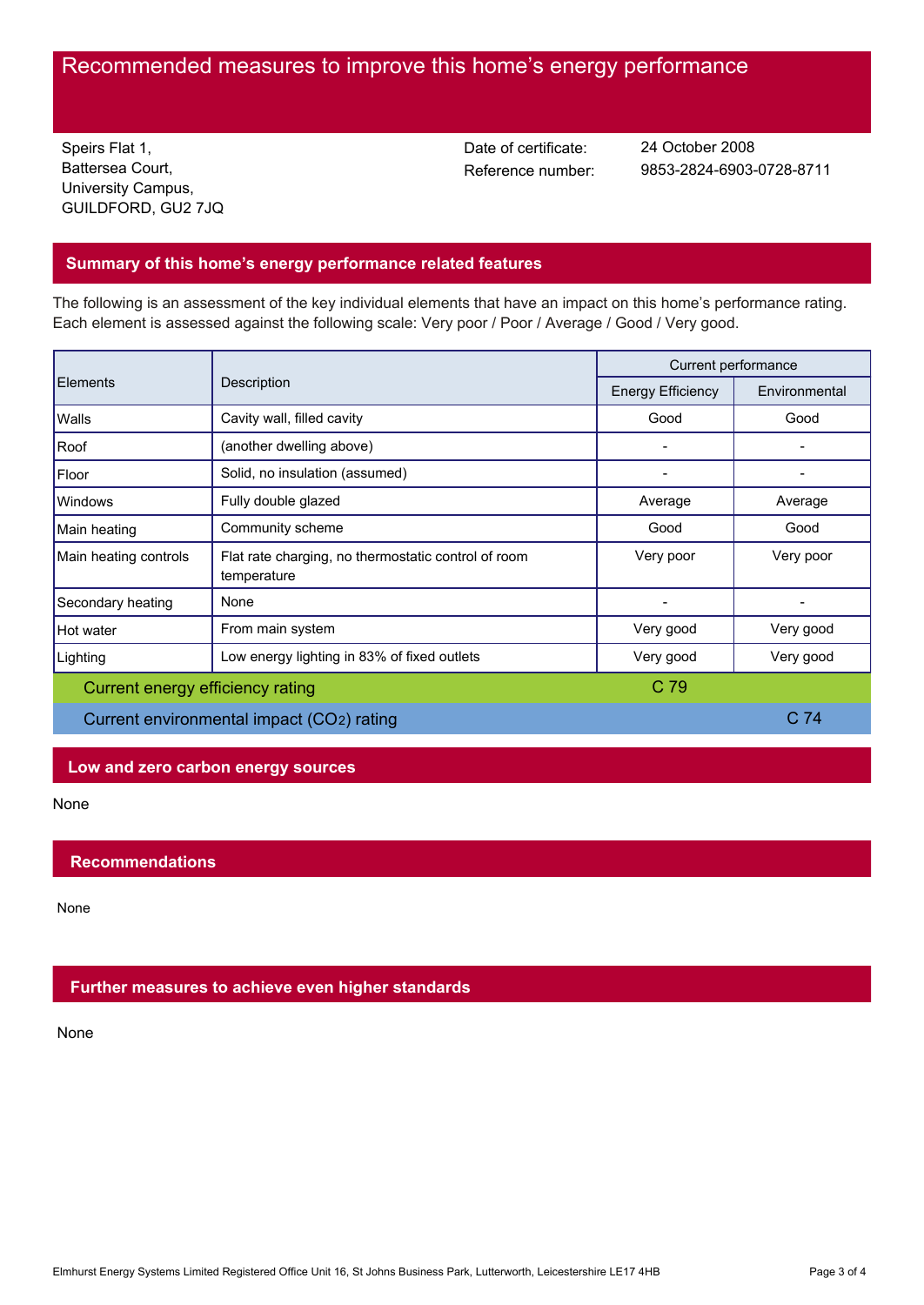# Recommended measures to improve this home's energy performance

Speirs Flat 1, Battersea Court, University Campus, GUILDFORD, GU2 7JQ Date of certificate:

Reference number: 9853-2824-6903-0728-8711 24 October 2008

## **Summary of this home's energy performance related features**

The following is an assessment of the key individual elements that have an impact on this home's performance rating. Each element is assessed against the following scale: Very poor / Poor / Average / Good / Very good.

| Elements                                  | Description                                                        | Current performance      |                 |
|-------------------------------------------|--------------------------------------------------------------------|--------------------------|-----------------|
|                                           |                                                                    | <b>Energy Efficiency</b> | Environmental   |
| Walls                                     | Cavity wall, filled cavity                                         | Good                     | Good            |
| Roof                                      | (another dwelling above)                                           |                          |                 |
| Floor                                     | Solid, no insulation (assumed)                                     |                          |                 |
| <b>Windows</b>                            | Fully double glazed                                                | Average                  | Average         |
| Main heating                              | Community scheme                                                   | Good                     | Good            |
| Main heating controls                     | Flat rate charging, no thermostatic control of room<br>temperature | Very poor                | Very poor       |
| Secondary heating                         | None                                                               |                          |                 |
| Hot water                                 | From main system                                                   | Very good                | Very good       |
| Lighting                                  | Low energy lighting in 83% of fixed outlets                        | Very good                | Very good       |
| Current energy efficiency rating          |                                                                    | C 79                     |                 |
| Current environmental impact (CO2) rating |                                                                    |                          | C <sub>74</sub> |

## **Low and zero carbon energy sources**

None

## **Recommendations**

None

## **Further measures to achieve even higher standards**

None